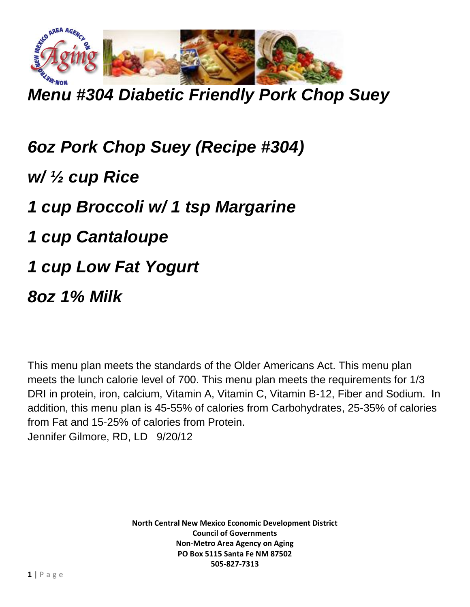

*Menu #304 Diabetic Friendly Pork Chop Suey*

*6oz Pork Chop Suey (Recipe #304) w/ ½ cup Rice 1 cup Broccoli w/ 1 tsp Margarine 1 cup Cantaloupe 1 cup Low Fat Yogurt 8oz 1% Milk*

This menu plan meets the standards of the Older Americans Act. This menu plan meets the lunch calorie level of 700. This menu plan meets the requirements for 1/3 DRI in protein, iron, calcium, Vitamin A, Vitamin C, Vitamin B-12, Fiber and Sodium. In addition, this menu plan is 45-55% of calories from Carbohydrates, 25-35% of calories from Fat and 15-25% of calories from Protein. Jennifer Gilmore, RD, LD 9/20/12

> **North Central New Mexico Economic Development District Council of Governments Non-Metro Area Agency on Aging PO Box 5115 Santa Fe NM 87502 505-827-7313**